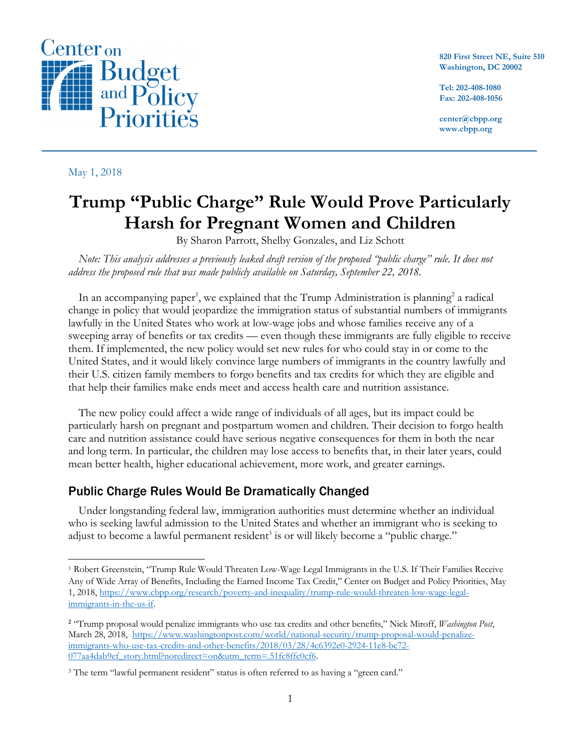

**820 First Street NE, Suite 510 Washington, DC 20002**

**Tel: 202-408-1080 Fax: 202-408-1056**

**center@cbpp.org www.cbpp.org**

## May 1, 2018

 $\overline{\phantom{a}}$ 

## **Trump "Public Charge" Rule Would Prove Particularly Harsh for Pregnant Women and Children**

By Sharon Parrott, Shelby Gonzales, and Liz Schott

*Note: This analysis addresses a previously leaked draft version of the proposed "public charge" rule. It does not address the proposed rule that was made publicly available on Saturday, September 22, 2018.*

In an accompanying paper<sup>1</sup>, we explained that the Trump Administration is planning<sup>2</sup> a radical change in policy that would jeopardize the immigration status of substantial numbers of immigrants lawfully in the United States who work at low-wage jobs and whose families receive any of a sweeping array of benefits or tax credits — even though these immigrants are fully eligible to receive them. If implemented, the new policy would set new rules for who could stay in or come to the United States, and it would likely convince large numbers of immigrants in the country lawfully and their U.S. citizen family members to forgo benefits and tax credits for which they are eligible and that help their families make ends meet and access health care and nutrition assistance.

The new policy could affect a wide range of individuals of all ages, but its impact could be particularly harsh on pregnant and postpartum women and children. Their decision to forgo health care and nutrition assistance could have serious negative consequences for them in both the near and long term. In particular, the children may lose access to benefits that, in their later years, could mean better health, higher educational achievement, more work, and greater earnings.

## Public Charge Rules Would Be Dramatically Changed

Under longstanding federal law, immigration authorities must determine whether an individual who is seeking lawful admission to the United States and whether an immigrant who is seeking to adjust to become a lawful permanent resident<sup>3</sup> is or will likely become a "public charge."

<sup>1</sup> Robert Greenstein, "Trump Rule Would Threaten Low-Wage Legal Immigrants in the U.S. If Their Families Receive Any of Wide Array of Benefits, Including the Earned Income Tax Credit," Center on Budget and Policy Priorities, May 1, 2018, https://www.cbpp.org/research/poverty-and-inequality/trump-rule-would-threaten-low-wage-legalimmigrants-in-the-us-if.

<sup>2</sup> "Trump proposal would penalize immigrants who use tax credits and other benefits," Nick Miroff, *Washington Post*, March 28, 2018, https://www.washingtonpost.com/world/national-security/trump-proposal-would-penalizeimmigrants-who-use-tax-credits-and-other-benefits/2018/03/28/4c6392e0-2924-11e8-bc72- 077aa4dab9ef\_story.html?noredirect=on&utm\_term=.51fc8ffc0cf6.

<sup>&</sup>lt;sup>3</sup> The term "lawful permanent resident" status is often referred to as having a "green card."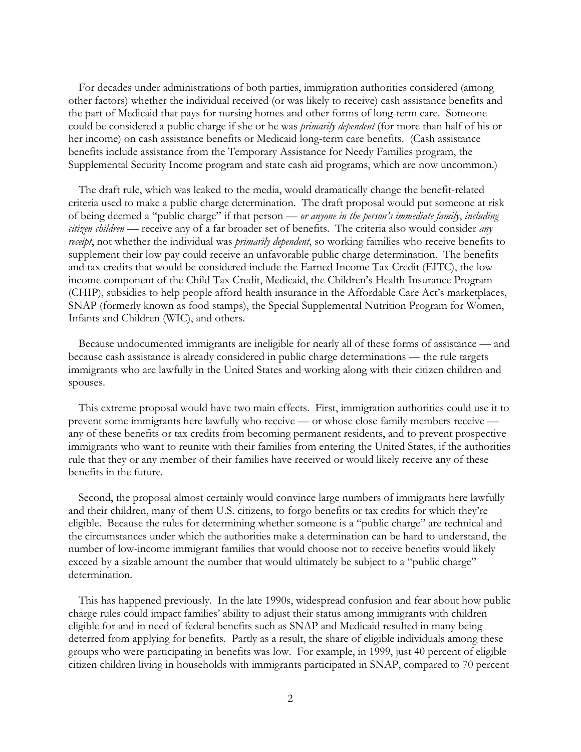For decades under administrations of both parties, immigration authorities considered (among other factors) whether the individual received (or was likely to receive) cash assistance benefits and the part of Medicaid that pays for nursing homes and other forms of long-term care. Someone could be considered a public charge if she or he was *primarily dependent* (for more than half of his or her income) on cash assistance benefits or Medicaid long-term care benefits. (Cash assistance benefits include assistance from the Temporary Assistance for Needy Families program, the Supplemental Security Income program and state cash aid programs, which are now uncommon.)

The draft rule, which was leaked to the media, would dramatically change the benefit-related criteria used to make a public charge determination. The draft proposal would put someone at risk of being deemed a "public charge" if that person — *or anyone in the person's immediate family*, *including citizen children* — receive any of a far broader set of benefits. The criteria also would consider *any receipt*, not whether the individual was *primarily dependent*, so working families who receive benefits to supplement their low pay could receive an unfavorable public charge determination. The benefits and tax credits that would be considered include the Earned Income Tax Credit (EITC), the lowincome component of the Child Tax Credit, Medicaid, the Children's Health Insurance Program (CHIP), subsidies to help people afford health insurance in the Affordable Care Act's marketplaces, SNAP (formerly known as food stamps), the Special Supplemental Nutrition Program for Women, Infants and Children (WIC), and others.

Because undocumented immigrants are ineligible for nearly all of these forms of assistance — and because cash assistance is already considered in public charge determinations — the rule targets immigrants who are lawfully in the United States and working along with their citizen children and spouses.

This extreme proposal would have two main effects. First, immigration authorities could use it to prevent some immigrants here lawfully who receive — or whose close family members receive any of these benefits or tax credits from becoming permanent residents, and to prevent prospective immigrants who want to reunite with their families from entering the United States, if the authorities rule that they or any member of their families have received or would likely receive any of these benefits in the future.

Second, the proposal almost certainly would convince large numbers of immigrants here lawfully and their children, many of them U.S. citizens, to forgo benefits or tax credits for which they're eligible. Because the rules for determining whether someone is a "public charge" are technical and the circumstances under which the authorities make a determination can be hard to understand, the number of low-income immigrant families that would choose not to receive benefits would likely exceed by a sizable amount the number that would ultimately be subject to a "public charge" determination.

This has happened previously. In the late 1990s, widespread confusion and fear about how public charge rules could impact families' ability to adjust their status among immigrants with children eligible for and in need of federal benefits such as SNAP and Medicaid resulted in many being deterred from applying for benefits. Partly as a result, the share of eligible individuals among these groups who were participating in benefits was low. For example, in 1999, just 40 percent of eligible citizen children living in households with immigrants participated in SNAP, compared to 70 percent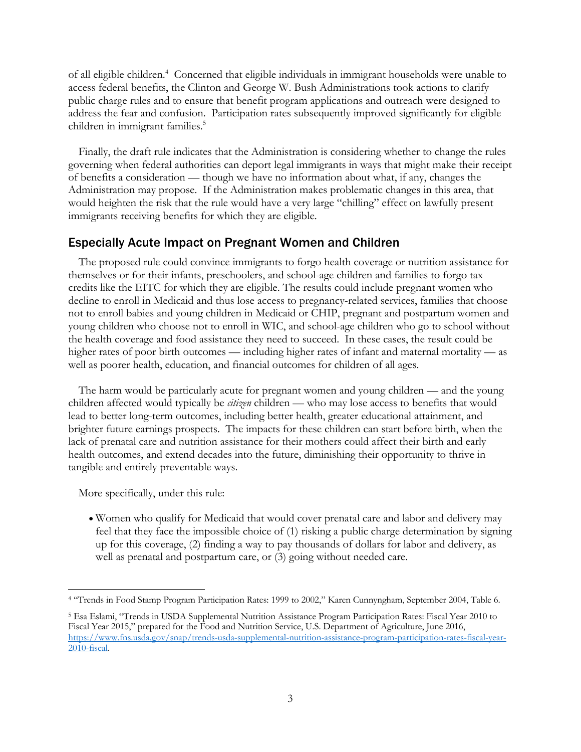of all eligible children.<sup>4</sup> Concerned that eligible individuals in immigrant households were unable to access federal benefits, the Clinton and George W. Bush Administrations took actions to clarify public charge rules and to ensure that benefit program applications and outreach were designed to address the fear and confusion. Participation rates subsequently improved significantly for eligible children in immigrant families.<sup>5</sup>

Finally, the draft rule indicates that the Administration is considering whether to change the rules governing when federal authorities can deport legal immigrants in ways that might make their receipt of benefits a consideration — though we have no information about what, if any, changes the Administration may propose. If the Administration makes problematic changes in this area, that would heighten the risk that the rule would have a very large "chilling" effect on lawfully present immigrants receiving benefits for which they are eligible.

## Especially Acute Impact on Pregnant Women and Children

The proposed rule could convince immigrants to forgo health coverage or nutrition assistance for themselves or for their infants, preschoolers, and school-age children and families to forgo tax credits like the EITC for which they are eligible. The results could include pregnant women who decline to enroll in Medicaid and thus lose access to pregnancy-related services, families that choose not to enroll babies and young children in Medicaid or CHIP, pregnant and postpartum women and young children who choose not to enroll in WIC, and school-age children who go to school without the health coverage and food assistance they need to succeed. In these cases, the result could be higher rates of poor birth outcomes — including higher rates of infant and maternal mortality — as well as poorer health, education, and financial outcomes for children of all ages.

The harm would be particularly acute for pregnant women and young children — and the young children affected would typically be *citizen* children — who may lose access to benefits that would lead to better long-term outcomes, including better health, greater educational attainment, and brighter future earnings prospects. The impacts for these children can start before birth, when the lack of prenatal care and nutrition assistance for their mothers could affect their birth and early health outcomes, and extend decades into the future, diminishing their opportunity to thrive in tangible and entirely preventable ways.

More specifically, under this rule:

 $\overline{\phantom{a}}$ 

• Women who qualify for Medicaid that would cover prenatal care and labor and delivery may feel that they face the impossible choice of (1) risking a public charge determination by signing up for this coverage, (2) finding a way to pay thousands of dollars for labor and delivery, as well as prenatal and postpartum care, or (3) going without needed care.

<sup>4</sup> "Trends in Food Stamp Program Participation Rates: 1999 to 2002," Karen Cunnyngham, September 2004, Table 6.

<sup>5</sup> Esa Eslami, "Trends in USDA Supplemental Nutrition Assistance Program Participation Rates: Fiscal Year 2010 to Fiscal Year 2015," prepared for the Food and Nutrition Service, U.S. Department of Agriculture, June 2016, https://www.fns.usda.gov/snap/trends-usda-supplemental-nutrition-assistance-program-participation-rates-fiscal-year-2010-fiscal.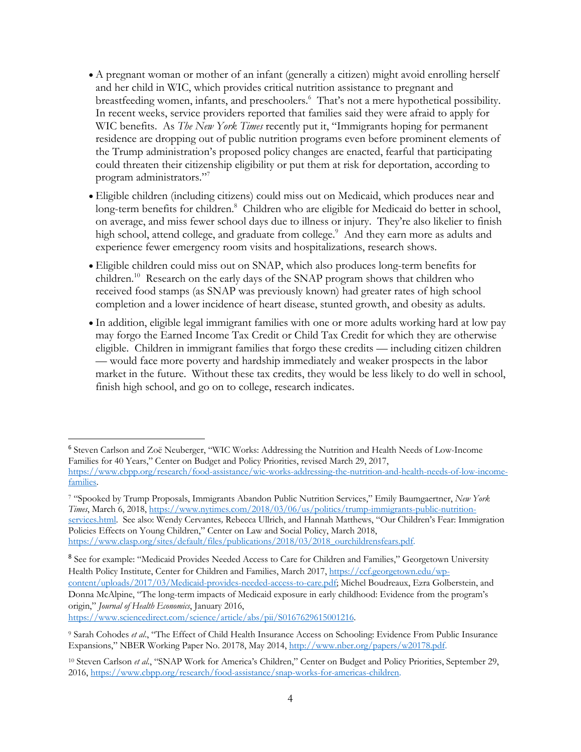- A pregnant woman or mother of an infant (generally a citizen) might avoid enrolling herself and her child in WIC, which provides critical nutrition assistance to pregnant and breastfeeding women, infants, and preschoolers.6 That's not a mere hypothetical possibility. In recent weeks, service providers reported that families said they were afraid to apply for WIC benefits. As *The New York Times* recently put it, "Immigrants hoping for permanent residence are dropping out of public nutrition programs even before prominent elements of the Trump administration's proposed policy changes are enacted, fearful that participating could threaten their citizenship eligibility or put them at risk for deportation, according to program administrators."<sup>7</sup>
- Eligible children (including citizens) could miss out on Medicaid, which produces near and long-term benefits for children.<sup>8</sup> Children who are eligible for Medicaid do better in school, on average, and miss fewer school days due to illness or injury. They're also likelier to finish high school, attend college, and graduate from college.<sup>9</sup> And they earn more as adults and experience fewer emergency room visits and hospitalizations, research shows.
- Eligible children could miss out on SNAP, which also produces long-term benefits for children. <sup>10</sup> Research on the early days of the SNAP program shows that children who received food stamps (as SNAP was previously known) had greater rates of high school completion and a lower incidence of heart disease, stunted growth, and obesity as adults.
- In addition, eligible legal immigrant families with one or more adults working hard at low pay may forgo the Earned Income Tax Credit or Child Tax Credit for which they are otherwise eligible. Children in immigrant families that forgo these credits — including citizen children — would face more poverty and hardship immediately and weaker prospects in the labor market in the future. Without these tax credits, they would be less likely to do well in school, finish high school, and go on to college, research indicates.

https://www.sciencedirect.com/science/article/abs/pii/S0167629615001216.

 <sup>6</sup> Steven Carlson and Zoë Neuberger, "WIC Works: Addressing the Nutrition and Health Needs of Low-Income Families for 40 Years," Center on Budget and Policy Priorities, revised March 29, 2017, https://www.cbpp.org/research/food-assistance/wic-works-addressing-the-nutrition-and-health-needs-of-low-incomefamilies.

<sup>7</sup> "Spooked by Trump Proposals, Immigrants Abandon Public Nutrition Services," Emily Baumgaertner, *New York Times*, March 6, 2018, https://www.nytimes.com/2018/03/06/us/politics/trump-immigrants-public-nutritionservices.html. See also: Wendy Cervantes*,* Rebecca Ullrich, and Hannah Matthews, "Our Children's Fear: Immigration Policies Effects on Young Children," Center on Law and Social Policy, March 2018, https://www.clasp.org/sites/default/files/publications/2018/03/2018\_ourchildrensfears.pdf.

<sup>&</sup>lt;sup>8</sup> See for example: "Medicaid Provides Needed Access to Care for Children and Families," Georgetown University Health Policy Institute, Center for Children and Families, March 2017, https://ccf.georgetown.edu/wpcontent/uploads/2017/03/Medicaid-provides-needed-access-to-care.pdf; Michel Boudreaux, Ezra Golberstein, and Donna McAlpine, "The long-term impacts of Medicaid exposure in early childhood: Evidence from the program's origin," *Journal of Health Economics*, January 2016,

<sup>9</sup> Sarah Cohodes *et al*., "The Effect of Child Health Insurance Access on Schooling: Evidence From Public Insurance Expansions," NBER Working Paper No. 20178, May 2014, http://www.nber.org/papers/w20178.pdf.

<sup>10</sup> Steven Carlson *et al*., "SNAP Work for America's Children," Center on Budget and Policy Priorities, September 29, 2016, https://www.cbpp.org/research/food-assistance/snap-works-for-americas-children.